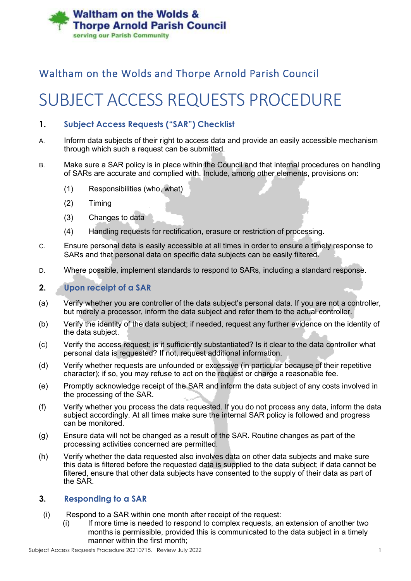# **Waltham on the Wolds & Thorpe Arnold Parish Council** serving our Parish Community

# Waltham on the Wolds and Thorpe Arnold Parish Council

# SUBJECT ACCESS REQUESTS PROCEDURE

### **1. Subject Access Requests ("SAR") Checklist**

- A. Inform data subjects of their right to access data and provide an easily accessible mechanism through which such a request can be submitted.
- B. Make sure a SAR policy is in place within the Council and that internal procedures on handling of SARs are accurate and complied with. Include, among other elements, provisions on:
	- (1) Responsibilities (who, what)
	- (2) Timing
	- (3) Changes to data
	- (4) Handling requests for rectification, erasure or restriction of processing.
- C. Ensure personal data is easily accessible at all times in order to ensure a timely response to SARs and that personal data on specific data subjects can be easily filtered.
- D. Where possible, implement standards to respond to SARs, including a standard response.

# **2. Upon receipt of a SAR**

- (a) Verify whether you are controller of the data subject's personal data. If you are not a controller, but merely a processor, inform the data subject and refer them to the actual controller.
- (b) Verify the identity of the data subject; if needed, request any further evidence on the identity of the data subject.
- (c) Verify the access request; is it sufficiently substantiated? Is it clear to the data controller what personal data is requested? If not, request additional information.
- (d) Verify whether requests are unfounded or excessive (in particular because of their repetitive character); if so, you may refuse to act on the request or charge a reasonable fee.
- (e) Promptly acknowledge receipt of the SAR and inform the data subject of any costs involved in the processing of the SAR.
- (f) Verify whether you process the data requested. If you do not process any data, inform the data subject accordingly. At all times make sure the internal SAR policy is followed and progress can be monitored.
- (g) Ensure data will not be changed as a result of the SAR. Routine changes as part of the processing activities concerned are permitted.
- (h) Verify whether the data requested also involves data on other data subjects and make sure this data is filtered before the requested data is supplied to the data subject; if data cannot be filtered, ensure that other data subjects have consented to the supply of their data as part of the SAR.

#### **3. Responding to a SAR**

- (i) Respond to a SAR within one month after receipt of the request:
	- (i) If more time is needed to respond to complex requests, an extension of another two months is permissible, provided this is communicated to the data subject in a timely manner within the first month;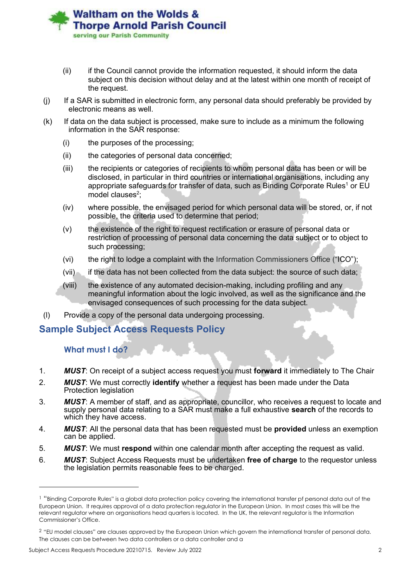

- (ii) if the Council cannot provide the information requested, it should inform the data subject on this decision without delay and at the latest within one month of receipt of the request.
- (j) If a SAR is submitted in electronic form, any personal data should preferably be provided by electronic means as well.
- (k) If data on the data subject is processed, make sure to include as a minimum the following information in the SAR response:
	- (i) the purposes of the processing;
	- (ii) the categories of personal data concerned;
	- (iii) the recipients or categories of recipients to whom personal data has been or will be disclosed, in particular in third countries or international organisations, including any appropriate safeguards for transfer of data, such as Binding Corporate Rules<sup>1</sup> or EU model clauses<sup>2</sup>;
	- (iv) where possible, the envisaged period for which personal data will be stored, or, if not possible, the criteria used to determine that period;
	- (v) the existence of the right to request rectification or erasure of personal data or restriction of processing of personal data concerning the data subject or to object to such processing;
	- (vi) the right to lodge a complaint with the Information Commissioners Office ("ICO");
	- (vii) if the data has not been collected from the data subject: the source of such data;
	- (viii) the existence of any automated decision-making, including profiling and any meaningful information about the logic involved, as well as the significance and the envisaged consequences of such processing for the data subject.
- (l) Provide a copy of the personal data undergoing processing.

# **Sample Subject Access Requests Policy**

#### **What must I do?**

- 1. *MUST*: On receipt of a subject access request you must **forward** it immediately to The Chair
- 2. *MUST*: We must correctly **identify** whether a request has been made under the Data Protection legislation
- 3. *MUST*: A member of staff, and as appropriate, councillor, who receives a request to locate and supply personal data relating to a SAR must make a full exhaustive **search** of the records to which they have access.
- 4. *MUST*: All the personal data that has been requested must be **provided** unless an exemption can be applied.
- 5. *MUST*: We must **respond** within one calendar month after accepting the request as valid.
- 6. *MUST*: Subject Access Requests must be undertaken **free of charge** to the requestor unless the legislation permits reasonable fees to be charged.

<sup>&</sup>lt;sup>1</sup> "Binding Corporate Rules" is a global data protection policy covering the international transfer pf personal data out of the European Union. It requires approval of a data protection regulator in the European Union. In most cases this will be the relevant regulator where an organisations head quarters is located. In the UK, the relevant regulator is the Information Commissioner's Office.

<sup>&</sup>lt;sup>2</sup> "EU model clauses" are clauses approved by the European Union which govern the international transfer of personal data. The clauses can be between two data controllers or a data controller and a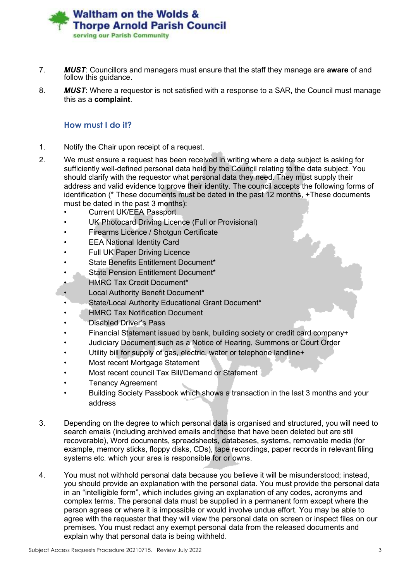

- 7. *MUST*: Councillors and managers must ensure that the staff they manage are **aware** of and follow this guidance.
- 8. *MUST*: Where a requestor is not satisfied with a response to a SAR, the Council must manage this as a **complaint**.

#### **How must I do it?**

- 1. Notify the Chair upon receipt of a request.
- 2. We must ensure a request has been received in writing where a data subject is asking for sufficiently well-defined personal data held by the Council relating to the data subject. You should clarify with the requestor what personal data they need. They must supply their address and valid evidence to prove their identity. The council accepts the following forms of identification (\* These documents must be dated in the past 12 months, +These documents must be dated in the past 3 months):
	- Current UK/EEA Passport
	- UK Photocard Driving Licence (Full or Provisional)
	- Firearms Licence / Shotgun Certificate
	- **EEA National Identity Card**
	- **Full UK Paper Driving Licence**
	- State Benefits Entitlement Document\*
	- State Pension Entitlement Document\*
	- HMRC Tax Credit Document\*
	- Local Authority Benefit Document\*
	- State/Local Authority Educational Grant Document\*
	- HMRC Tax Notification Document
	- Disabled Driver's Pass
	- Financial Statement issued by bank, building society or credit card company+
	- Judiciary Document such as a Notice of Hearing, Summons or Court Order
	- Utility bill for supply of gas, electric, water or telephone landline+
	- Most recent Mortgage Statement
	- Most recent council Tax Bill/Demand or Statement
	- Tenancy Agreement
	- Building Society Passbook which shows a transaction in the last 3 months and your address
- 3. Depending on the degree to which personal data is organised and structured, you will need to search emails (including archived emails and those that have been deleted but are still recoverable), Word documents, spreadsheets, databases, systems, removable media (for example, memory sticks, floppy disks, CDs), tape recordings, paper records in relevant filing systems etc. which your area is responsible for or owns.
- 4. You must not withhold personal data because you believe it will be misunderstood; instead, you should provide an explanation with the personal data. You must provide the personal data in an "intelligible form", which includes giving an explanation of any codes, acronyms and complex terms. The personal data must be supplied in a permanent form except where the person agrees or where it is impossible or would involve undue effort. You may be able to agree with the requester that they will view the personal data on screen or inspect files on our premises. You must redact any exempt personal data from the released documents and explain why that personal data is being withheld.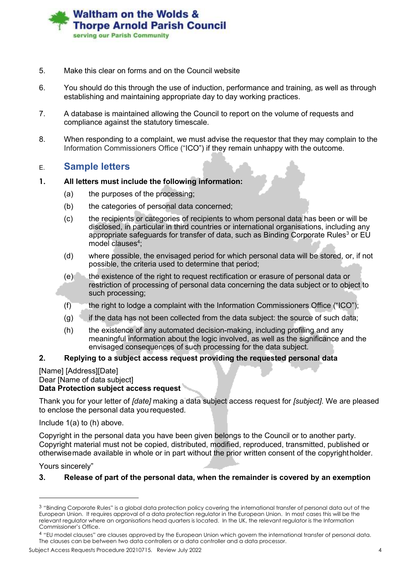

- 5. Make this clear on forms and on the Council website
- 6. You should do this through the use of induction, performance and training, as well as through establishing and maintaining appropriate day to day working practices.
- 7. A database is maintained allowing the Council to report on the volume of requests and compliance against the statutory timescale.
- 8. When responding to a complaint, we must advise the requestor that they may complain to the Information Commissioners Office ("ICO") if they remain unhappy with the outcome.

## E. **Sample letters**

- **1. All letters must include the following information:**
	- (a) the purposes of the processing;
	- (b) the categories of personal data concerned;
	- (c) the recipients or categories of recipients to whom personal data has been or will be disclosed, in particular in third countries or international organisations, including any appropriate safeguards for transfer of data, such as Binding Corporate Rules<sup>3</sup> or EU model clauses<sup>4</sup>;
	- (d) where possible, the envisaged period for which personal data will be stored, or, if not possible, the criteria used to determine that period;
	- (e) the existence of the right to request rectification or erasure of personal data or restriction of processing of personal data concerning the data subject or to object to such processing;
	- (f) the right to lodge a complaint with the Information Commissioners Office ("ICO");
	- (g) if the data has not been collected from the data subject: the source of such data;
	- (h) the existence of any automated decision-making, including profiling and any meaningful information about the logic involved, as well as the significance and the envisaged consequences of such processing for the data subject.

#### **2. Replying to a subject access request providing the requested personal data**

#### [Name] [Address][Date] Dear [Name of data subject] **Data Protection subject access request**

Thank you for your letter of *[date]* making a data subject access request for *[subject]*. We are pleased to enclose the personal data you requested.

Include 1(a) to (h) above.

Copyright in the personal data you have been given belongs to the Council or to another party. Copyright material must not be copied, distributed, modified, reproduced, transmitted, published or otherwisemade available in whole or in part without the prior written consent of the copyrightholder.

Yours sincerely"

#### **3. Release of part of the personal data, when the remainder is covered by an exemption**

<sup>3</sup> "Binding Corporate Rules" is a global data protection policy covering the international transfer of personal data out of the European Union. It requires approval of a data protection regulator in the European Union. In most cases this will be the relevant regulator where an organisations head quarters is located. In the UK, the relevant regulator is the Information Commissioner's Office.

<sup>4</sup> "EU model clauses" are clauses approved by the European Union which govern the international transfer of personal data. The clauses can be between two data controllers or a data controller and a data processor.